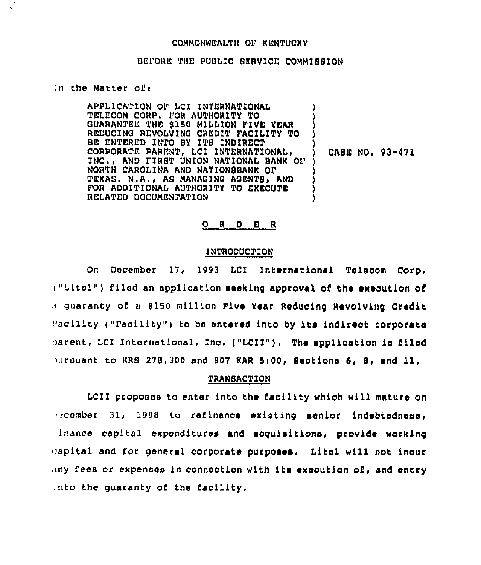### COMMONWEALTH OF KENTUCKY

## BEFORE THE PUBLIC SERVICE COMMISSION

#### In the Matter of:

APPLICATION OF LCI INTERNATIONAL TELECOM CORP. FOR AUTHORITY TO GUARANTEE THE \$150 MILLION FIVE YEAR REDUCING REVOLVING CREDIT FACILITY TO BE ENTERED INTO BY ITS INDIRECT CORPORATE PARENT, LCI INTERNATIONAL, INC., AND FIRST UNION NATIONAL BANK OF NORTH CAROLINA AND NATIONSBANK OF TEXAS, N.A., AS MANAGING AGENTS, AND FOR ADDITIONAL AUTHORITY TO EXECUTE RELATED DOCUMENTATION

CASE NO. 93-471

## ORDER

# INTRODUCTION

On December 17, 1993 LCI International Telecom Corp. ("Litel") filed an application seeking approval of the execution of a guaranty of a \$150 million Five Year Reducing Revolving Credit Facility ("Facility") to be entered into by its indirect corporate parent, LCI International, Inc. ("LCII"). The application is filed pursuant to KRS 278.300 and 807 KAR 5:00, Sections 6, 8, and 11.

#### **TRANBACTION**

LCII proposes to enter into the facility which will mature on scember 31, 1998 to refinance existing senior indebtedness. inance capital expenditures and acquisitions, provide working capital and for general corporate purposes. Litel will not inour any fees or expenses in connection with its execution of, and entry into the quaranty of the facility.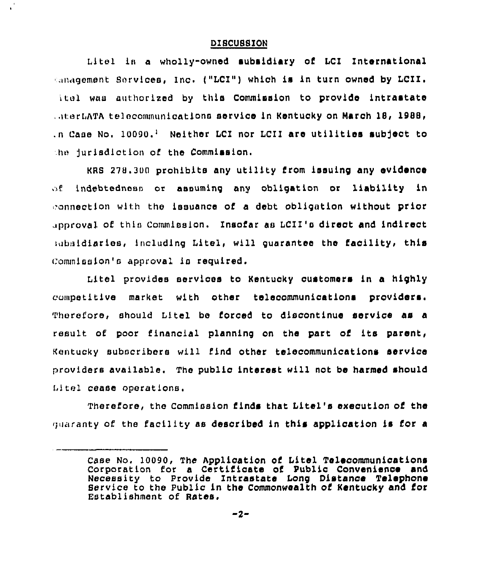#### DISCUSSION

Litel is a wholly-owned subsidiary of LCI International anagement Services, Inc. ("LCI") which is in turn owned by LCII. itel was authorized by this Commission to provide intrastate , uterLATA telecommunications service in Kentucky on March 18, 1988, .n Case No. 10090.<sup>1</sup> Neither LCI nor LCII are utilities subject to the jurisdiction of the Commission.

KRS 278.300 prohibits any utility from issuing any evidenoe indebtedness or assuming any obligation or liability in ు£ా onnectlon with the issuance of a debt obligation without prior approval of thio Commission. Insofar as LCII '0 direct and indirect subsidiaries, including Litel, will guarantee the facility, this Commission's approval is required.

Litel provides servioes to Kentuoky customers in a highly  $c$ ompetitive market with other telecommunications providers. Therefore, should Litel be forced to discontinue service as a result of poor financial planning on the part of its parent, Kentucky subscribers will find other telecommunications service providers available. The public interest will not be harmed should Lltel cease operations.

Therefore, the Commission finds that Litel's execution of the quaranty of the facility as described in this application is for a

Case No. 10090, The Application of Litel Telecommunications Corporation for a Certificate of Public Convenience and Necessity to Provide Intrastate Long Distance Telephon Bervice to the Public ln the Commonwealth of Kentucky and for Establishment of Rates.